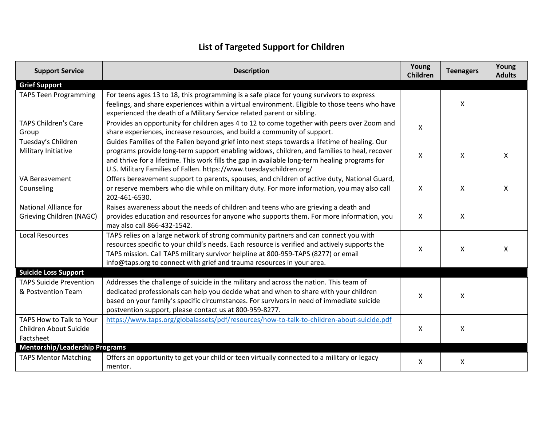## **List of Targeted Support for Children**

| <b>Support Service</b>                                          | <b>Description</b>                                                                                                                                                                                                                                                                                                                                                    | Young<br>Children | <b>Teenagers</b> | Young<br><b>Adults</b> |
|-----------------------------------------------------------------|-----------------------------------------------------------------------------------------------------------------------------------------------------------------------------------------------------------------------------------------------------------------------------------------------------------------------------------------------------------------------|-------------------|------------------|------------------------|
| <b>Grief Support</b>                                            |                                                                                                                                                                                                                                                                                                                                                                       |                   |                  |                        |
| <b>TAPS Teen Programming</b>                                    | For teens ages 13 to 18, this programming is a safe place for young survivors to express<br>feelings, and share experiences within a virtual environment. Eligible to those teens who have<br>experienced the death of a Military Service related parent or sibling.                                                                                                  |                   | X                |                        |
| <b>TAPS Children's Care</b><br>Group                            | Provides an opportunity for children ages 4 to 12 to come together with peers over Zoom and<br>share experiences, increase resources, and build a community of support.                                                                                                                                                                                               | $\mathsf{X}$      |                  |                        |
| Tuesday's Children<br>Military Initiative                       | Guides Families of the Fallen beyond grief into next steps towards a lifetime of healing. Our<br>programs provide long-term support enabling widows, children, and families to heal, recover<br>and thrive for a lifetime. This work fills the gap in available long-term healing programs for<br>U.S. Military Families of Fallen. https://www.tuesdayschildren.org/ | X                 | X                | X                      |
| VA Bereavement<br>Counseling                                    | Offers bereavement support to parents, spouses, and children of active duty, National Guard,<br>or reserve members who die while on military duty. For more information, you may also call<br>202-461-6530.                                                                                                                                                           | X                 | X                | X                      |
| National Alliance for<br>Grieving Children (NAGC)               | Raises awareness about the needs of children and teens who are grieving a death and<br>provides education and resources for anyone who supports them. For more information, you<br>may also call 866-432-1542.                                                                                                                                                        | Χ                 | X                |                        |
| <b>Local Resources</b>                                          | TAPS relies on a large network of strong community partners and can connect you with<br>resources specific to your child's needs. Each resource is verified and actively supports the<br>TAPS mission. Call TAPS military survivor helpline at 800-959-TAPS (8277) or email<br>info@taps.org to connect with grief and trauma resources in your area.                 | X                 | X                | X                      |
| <b>Suicide Loss Support</b>                                     |                                                                                                                                                                                                                                                                                                                                                                       |                   |                  |                        |
| <b>TAPS Suicide Prevention</b><br>& Postvention Team            | Addresses the challenge of suicide in the military and across the nation. This team of<br>dedicated professionals can help you decide what and when to share with your children<br>based on your family's specific circumstances. For survivors in need of immediate suicide<br>postvention support, please contact us at 800-959-8277.                               | X                 | X                |                        |
| TAPS How to Talk to Your<br>Children About Suicide<br>Factsheet | https://www.taps.org/globalassets/pdf/resources/how-to-talk-to-children-about-suicide.pdf                                                                                                                                                                                                                                                                             | X                 | X                |                        |
| <b>Mentorship/Leadership Programs</b>                           |                                                                                                                                                                                                                                                                                                                                                                       |                   |                  |                        |
| <b>TAPS Mentor Matching</b>                                     | Offers an opportunity to get your child or teen virtually connected to a military or legacy<br>mentor.                                                                                                                                                                                                                                                                | X                 | X                |                        |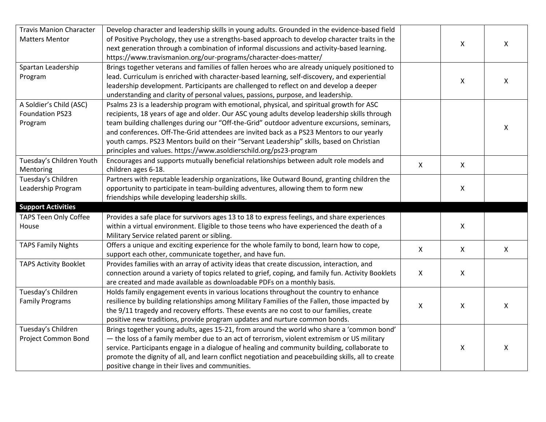| <b>Travis Manion Character</b> | Develop character and leadership skills in young adults. Grounded in the evidence-based field      |              |              |                |
|--------------------------------|----------------------------------------------------------------------------------------------------|--------------|--------------|----------------|
| <b>Matters Mentor</b>          | of Positive Psychology, they use a strengths-based approach to develop character traits in the     |              | X            | $\mathsf{X}$   |
|                                | next generation through a combination of informal discussions and activity-based learning.         |              |              |                |
|                                | https://www.travismanion.org/our-programs/character-does-matter/                                   |              |              |                |
| Spartan Leadership             | Brings together veterans and families of fallen heroes who are already uniquely positioned to      |              |              |                |
| Program                        | lead. Curriculum is enriched with character-based learning, self-discovery, and experiential       |              |              |                |
|                                | leadership development. Participants are challenged to reflect on and develop a deeper             |              | X            | $\mathsf{X}$   |
|                                | understanding and clarity of personal values, passions, purpose, and leadership.                   |              |              |                |
| A Soldier's Child (ASC)        | Psalms 23 is a leadership program with emotional, physical, and spiritual growth for ASC           |              |              |                |
| <b>Foundation PS23</b>         | recipients, 18 years of age and older. Our ASC young adults develop leadership skills through      |              |              |                |
| Program                        | team building challenges during our "Off-the-Grid" outdoor adventure excursions, seminars,         |              |              |                |
|                                | and conferences. Off-The-Grid attendees are invited back as a PS23 Mentors to our yearly           |              |              | X              |
|                                | youth camps. PS23 Mentors build on their "Servant Leadership" skills, based on Christian           |              |              |                |
|                                | principles and values. https://www.asoldierschild.org/ps23-program                                 |              |              |                |
| Tuesday's Children Youth       | Encourages and supports mutually beneficial relationships between adult role models and            |              |              |                |
| Mentoring                      | children ages 6-18.                                                                                | $\mathsf{X}$ | $\mathsf{X}$ |                |
| Tuesday's Children             | Partners with reputable leadership organizations, like Outward Bound, granting children the        |              |              |                |
| Leadership Program             | opportunity to participate in team-building adventures, allowing them to form new                  |              | X            |                |
|                                | friendships while developing leadership skills.                                                    |              |              |                |
| <b>Support Activities</b>      |                                                                                                    |              |              |                |
| <b>TAPS Teen Only Coffee</b>   | Provides a safe place for survivors ages 13 to 18 to express feelings, and share experiences       |              |              |                |
| House                          | within a virtual environment. Eligible to those teens who have experienced the death of a          |              | $\mathsf{X}$ |                |
|                                | Military Service related parent or sibling.                                                        |              |              |                |
| <b>TAPS Family Nights</b>      | Offers a unique and exciting experience for the whole family to bond, learn how to cope,           | $\mathsf{X}$ | $\mathsf{X}$ | $\pmb{\times}$ |
|                                | support each other, communicate together, and have fun.                                            |              |              |                |
| <b>TAPS Activity Booklet</b>   | Provides families with an array of activity ideas that create discussion, interaction, and         |              |              |                |
|                                | connection around a variety of topics related to grief, coping, and family fun. Activity Booklets  | $\mathsf{X}$ | X            |                |
|                                | are created and made available as downloadable PDFs on a monthly basis.                            |              |              |                |
| Tuesday's Children             | Holds family engagement events in various locations throughout the country to enhance              |              |              |                |
| <b>Family Programs</b>         | resilience by building relationships among Military Families of the Fallen, those impacted by      |              |              |                |
|                                | the 9/11 tragedy and recovery efforts. These events are no cost to our families, create            | $\mathsf{X}$ | X            | X              |
|                                | positive new traditions, provide program updates and nurture common bonds.                         |              |              |                |
| Tuesday's Children             | Brings together young adults, ages 15-21, from around the world who share a 'common bond'          |              |              |                |
| Project Common Bond            | - the loss of a family member due to an act of terrorism, violent extremism or US military         |              |              |                |
|                                | service. Participants engage in a dialogue of healing and community building, collaborate to       |              | X            | $\mathsf{X}$   |
|                                | promote the dignity of all, and learn conflict negotiation and peacebuilding skills, all to create |              |              |                |
|                                | positive change in their lives and communities.                                                    |              |              |                |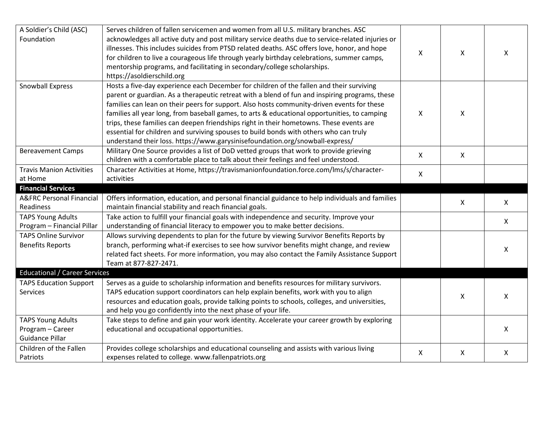| A Soldier's Child (ASC)              | Serves children of fallen servicemen and women from all U.S. military branches. ASC              |                |              |              |
|--------------------------------------|--------------------------------------------------------------------------------------------------|----------------|--------------|--------------|
| Foundation                           | acknowledges all active duty and post military service deaths due to service-related injuries or |                |              |              |
|                                      | illnesses. This includes suicides from PTSD related deaths. ASC offers love, honor, and hope     |                |              |              |
|                                      | for children to live a courageous life through yearly birthday celebrations, summer camps,       | X              | X            | X            |
|                                      | mentorship programs, and facilitating in secondary/college scholarships.                         |                |              |              |
|                                      | https://asoldierschild.org                                                                       |                |              |              |
| Snowball Express                     | Hosts a five-day experience each December for children of the fallen and their surviving         |                |              |              |
|                                      | parent or guardian. As a therapeutic retreat with a blend of fun and inspiring programs, these   |                |              |              |
|                                      | families can lean on their peers for support. Also hosts community-driven events for these       |                |              |              |
|                                      | families all year long, from baseball games, to arts & educational opportunities, to camping     | X              | X            |              |
|                                      | trips, these families can deepen friendships right in their hometowns. These events are          |                |              |              |
|                                      | essential for children and surviving spouses to build bonds with others who can truly            |                |              |              |
|                                      | understand their loss. https://www.garysinisefoundation.org/snowball-express/                    |                |              |              |
| <b>Bereavement Camps</b>             | Military One Source provides a list of DoD vetted groups that work to provide grieving           |                |              |              |
|                                      | children with a comfortable place to talk about their feelings and feel understood.              | $\pmb{\times}$ | X            |              |
| <b>Travis Manion Activities</b>      | Character Activities at Home, https://travismanionfoundation.force.com/lms/s/character-          | X              |              |              |
| at Home                              | activities                                                                                       |                |              |              |
| <b>Financial Services</b>            |                                                                                                  |                |              |              |
| <b>A&amp;FRC Personal Financial</b>  | Offers information, education, and personal financial guidance to help individuals and families  |                | X            | X            |
| Readiness                            | maintain financial stability and reach financial goals.                                          |                |              |              |
| <b>TAPS Young Adults</b>             | Take action to fulfill your financial goals with independence and security. Improve your         |                |              | $\mathsf{X}$ |
| Program - Financial Pillar           | understanding of financial literacy to empower you to make better decisions.                     |                |              |              |
| <b>TAPS Online Survivor</b>          | Allows surviving dependents to plan for the future by viewing Survivor Benefits Reports by       |                |              |              |
| <b>Benefits Reports</b>              | branch, performing what-if exercises to see how survivor benefits might change, and review       |                |              |              |
|                                      | related fact sheets. For more information, you may also contact the Family Assistance Support    |                |              | X            |
|                                      | Team at 877-827-2471.                                                                            |                |              |              |
| <b>Educational / Career Services</b> |                                                                                                  |                |              |              |
| <b>TAPS Education Support</b>        | Serves as a guide to scholarship information and benefits resources for military survivors.      |                |              |              |
| Services                             | TAPS education support coordinators can help explain benefits, work with you to align            |                | X            | $\mathsf{X}$ |
|                                      | resources and education goals, provide talking points to schools, colleges, and universities,    |                |              |              |
|                                      | and help you go confidently into the next phase of your life.                                    |                |              |              |
| <b>TAPS Young Adults</b>             | Take steps to define and gain your work identity. Accelerate your career growth by exploring     |                |              |              |
| Program - Career                     | educational and occupational opportunities.                                                      |                |              | $\mathsf{X}$ |
| Guidance Pillar                      |                                                                                                  |                |              |              |
| Children of the Fallen               | Provides college scholarships and educational counseling and assists with various living         |                | $\mathsf{X}$ |              |
| Patriots                             | expenses related to college. www.fallenpatriots.org                                              | X              |              | X            |